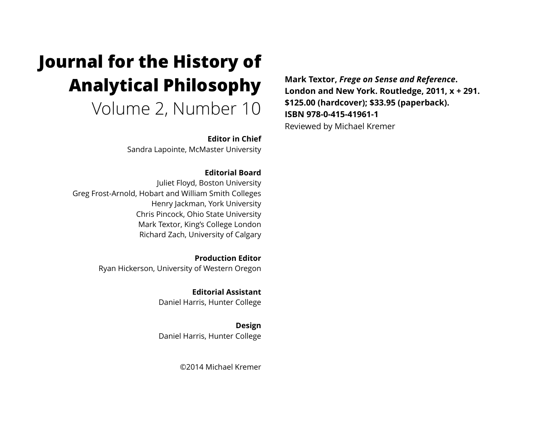# **Journal for the History of Analytical Philosophy**  Volume 2, Number 10

**Editor in Chief** 

Sandra Lapointe, McMaster University

#### **Editorial Board**

Juliet Floyd, Boston University Greg Frost-Arnold, Hobart and William Smith Colleges Henry Jackman, York University Chris Pincock, Ohio State University Mark Textor, King's College London Richard Zach, University of Calgary

> **Production Editor**  Ryan Hickerson, University of Western Oregon

> > **Editorial Assistant**  Daniel Harris, Hunter College

**Design**  Daniel Harris, Hunter College

©2014 Michael Kremer

**Mark Textor,** *Frege on Sense and Reference***. London and New York. Routledge, 2011, x + 291. \$125.00 (hardcover); \$33.95 (paperback). ISBN 978-0-415-41961-1**  Reviewed by Michael Kremer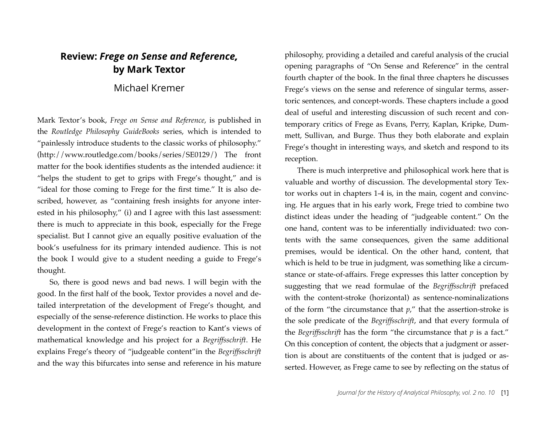## **Review:** *Frege on Sense and Reference,*  **by Mark Textor**

### Michael Kremer

Mark Textor's book, *Frege on Sense and Reference*, is published in the *Routledge Philosophy GuideBooks* series, which is intended to "painlessly introduce students to the classic works of philosophy." (http://www.routledge.com/books/series/SE0129/) The front matter for the book identifies students as the intended audience: it "helps the student to get to grips with Frege's thought," and is "ideal for those coming to Frege for the first time." It is also described, however, as "containing fresh insights for anyone interested in his philosophy," (i) and I agree with this last assessment: there is much to appreciate in this book, especially for the Frege specialist. But I cannot give an equally positive evaluation of the book's usefulness for its primary intended audience. This is not the book I would give to a student needing a guide to Frege's thought.

So, there is good news and bad news. I will begin with the good. In the first half of the book, Textor provides a novel and detailed interpretation of the development of Frege's thought, and especially of the sense-reference distinction. He works to place this development in the context of Frege's reaction to Kant's views of mathematical knowledge and his project for a *Begriffsschrift*. He explains Frege's theory of "judgeable content"in the *Begriffsschrift* and the way this bifurcates into sense and reference in his mature philosophy, providing a detailed and careful analysis of the crucial opening paragraphs of "On Sense and Reference" in the central fourth chapter of the book. In the final three chapters he discusses Frege's views on the sense and reference of singular terms, assertoric sentences, and concept-words. These chapters include a good deal of useful and interesting discussion of such recent and contemporary critics of Frege as Evans, Perry, Kaplan, Kripke, Dummett, Sullivan, and Burge. Thus they both elaborate and explain Frege's thought in interesting ways, and sketch and respond to its reception.

There is much interpretive and philosophical work here that is valuable and worthy of discussion. The developmental story Textor works out in chapters 1-4 is, in the main, cogent and convincing. He argues that in his early work, Frege tried to combine two distinct ideas under the heading of "judgeable content." On the one hand, content was to be inferentially individuated: two contents with the same consequences, given the same additional premises, would be identical. On the other hand, content, that which is held to be true in judgment, was something like a circumstance or state-of-affairs. Frege expresses this latter conception by suggesting that we read formulae of the *Begriffsschrift* prefaced with the content-stroke (horizontal) as sentence-nominalizations of the form "the circumstance that *p*," that the assertion-stroke is the sole predicate of the *Begriffsschrift*, and that every formula of the *Begriffsschrift* has the form "the circumstance that *p* is a fact." On this conception of content, the objects that a judgment or assertion is about are constituents of the content that is judged or asserted. However, as Frege came to see by reflecting on the status of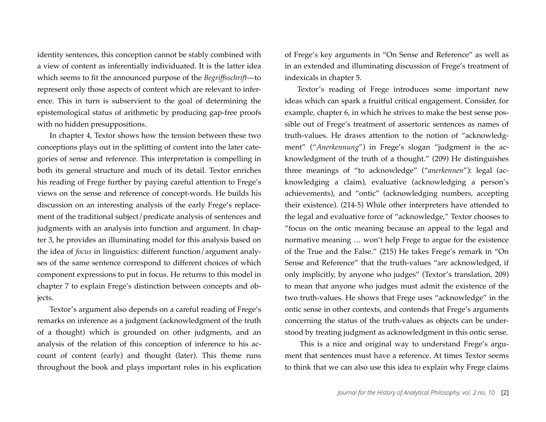identity sentences, this conception cannot be stably combined with a view of content as inferentially individuated. It is the latter idea which seems to fit the announced purpose of the *Begriffsschrift*—to represent only those aspects of content which are relevant to inference. This in turn is subservient to the goal of determining the epistemological status of arithmetic by producing gap-free proofs with no hidden presuppositions.

In chapter 4, Textor shows how the tension between these two conceptions plays out in the splitting of content into the later categories of sense and reference. This interpretation is compelling in both its general structure and much of its detail. Textor enriches his reading of Frege further by paying careful attention to Frege's views on the sense and reference of concept-words. He builds his discussion on an interesting analysis of the early Frege's replacement of the traditional subject/predicate analysis of sentences and judgments with an analysis into function and argument. In chapter 3, he provides an illuminating model for this analysis based on the idea of *focus* in linguistics: different function/argument analyses of the same sentence correspond to different choices of which component expressions to put in focus. He returns to this model in chapter 7 to explain Frege's distinction between concepts and objects.

Textor's argument also depends on a careful reading of Frege's remarks on inference as a judgment (acknowledgment of the truth of a thought) which is grounded on other judgments, and an analysis of the relation of this conception of inference to his account of content (early) and thought (later). This theme runs throughout the book and plays important roles in his explication

of Frege's key arguments in "On Sense and Reference" as well as in an extended and illuminating discussion of Frege's treatment of indexicals in chapter 5.

Textor's reading of Frege introduces some important new ideas which can spark a fruitful critical engagement. Consider, for example, chapter 6, in which he strives to make the best sense possible out of Frege's treatment of assertoric sentences as names of truth-values. He draws attention to the notion of "acknowledgment" ("*Anerkennung*") in Frege's slogan "judgment is the acknowledgment of the truth of a thought." (209) He distinguishes three meanings of "to acknowledge" ("*anerkennen*"): legal (acknowledging a claim), evaluative (acknowledging a person's achievements), and "ontic" (acknowledging numbers, accepting their existence). (214-5) While other interpreters have attended to the legal and evaluative force of "acknowledge," Textor chooses to "focus on the ontic meaning because an appeal to the legal and normative meaning … won't help Frege to argue for the existence of the True and the False." (215) He takes Frege's remark in "On Sense and Reference" that the truth-values "are acknowledged, if only implicitly, by anyone who judges" (Textor's translation, 209) to mean that anyone who judges must admit the existence of the two truth-values. He shows that Frege uses "acknowledge" in the ontic sense in other contexts, and contends that Frege's arguments concerning the status of the truth-values as objects can be understood by treating judgment as acknowledgment in this ontic sense.

 This is a nice and original way to understand Frege's argument that sentences must have a reference. At times Textor seems to think that we can also use this idea to explain why Frege claims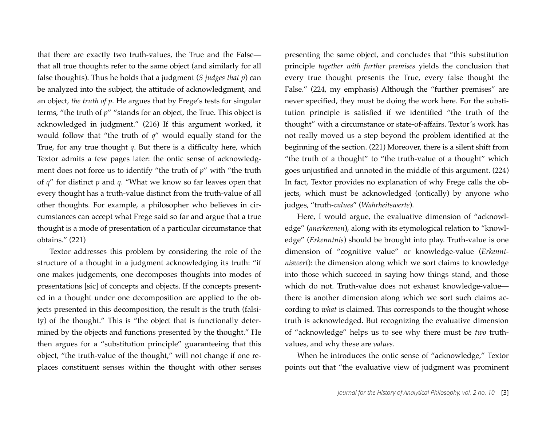that there are exactly two truth-values, the True and the False that all true thoughts refer to the same object (and similarly for all false thoughts). Thus he holds that a judgment (*S judges that p*) can be analyzed into the subject, the attitude of acknowledgment, and an object, *the truth of p*. He argues that by Frege's tests for singular terms, "the truth of *p*" "stands for an object, the True. This object is acknowledged in judgment." (216) If this argument worked, it would follow that "the truth of *q*" would equally stand for the True, for any true thought *q*. But there is a difficulty here, which Textor admits a few pages later: the ontic sense of acknowledgment does not force us to identify "the truth of *p*" with "the truth of *q*" for distinct *p* and *q*. "What we know so far leaves open that every thought has a truth-value distinct from the truth-value of all other thoughts. For example, a philosopher who believes in circumstances can accept what Frege said so far and argue that a true thought is a mode of presentation of a particular circumstance that obtains." (221)

Textor addresses this problem by considering the role of the structure of a thought in a judgment acknowledging its truth: "if one makes judgements, one decomposes thoughts into modes of presentations [sic] of concepts and objects. If the concepts presented in a thought under one decomposition are applied to the objects presented in this decomposition, the result is the truth (falsity) of the thought." This is "the object that is functionally determined by the objects and functions presented by the thought." He then argues for a "substitution principle" guaranteeing that this object, "the truth-value of the thought," will not change if one replaces constituent senses within the thought with other senses

presenting the same object, and concludes that "this substitution principle *together with further premises* yields the conclusion that every true thought presents the True, every false thought the False." (224, my emphasis) Although the "further premises" are never specified, they must be doing the work here. For the substitution principle is satisfied if we identified "the truth of the thought" with a circumstance or state-of-affairs. Textor's work has not really moved us a step beyond the problem identified at the beginning of the section. (221) Moreover, there is a silent shift from "the truth of a thought" to "the truth-value of a thought" which goes unjustified and unnoted in the middle of this argument. (224) In fact, Textor provides no explanation of why Frege calls the objects, which must be acknowledged (ontically) by anyone who judges, "truth-*values*" (*Wahrheitswerte*).

Here, I would argue, the evaluative dimension of "acknowledge" (*anerkennen*), along with its etymological relation to "knowledge" (*Erkenntnis*) should be brought into play. Truth-value is one dimension of "cognitive value" or knowledge-value (*Erkenntniswert*): the dimension along which we sort claims to knowledge into those which succeed in saying how things stand, and those which do not. Truth-value does not exhaust knowledge-value there is another dimension along which we sort such claims according to *what* is claimed. This corresponds to the thought whose truth is acknowledged. But recognizing the evaluative dimension of "acknowledge" helps us to see why there must be *two* truthvalues, and why these are *values*.

When he introduces the ontic sense of "acknowledge," Textor points out that "the evaluative view of judgment was prominent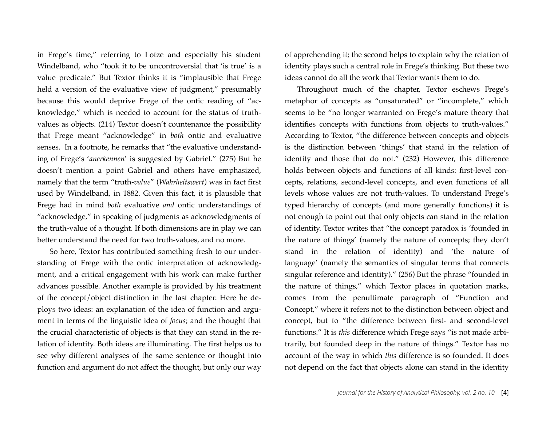in Frege's time," referring to Lotze and especially his student Windelband, who "took it to be uncontroversial that 'is true' is a value predicate." But Textor thinks it is "implausible that Frege held a version of the evaluative view of judgment," presumably because this would deprive Frege of the ontic reading of "acknowledge," which is needed to account for the status of truthvalues as objects. (214) Textor doesn't countenance the possibility that Frege meant "acknowledge" in *both* ontic and evaluative senses. In a footnote, he remarks that "the evaluative understanding of Frege's '*anerkennen*' is suggested by Gabriel." (275) But he doesn't mention a point Gabriel and others have emphasized, namely that the term "truth-*value*" (*Wahrheitswert*) was in fact first used by Windelband, in 1882. Given this fact, it is plausible that Frege had in mind *both* evaluative *and* ontic understandings of "acknowledge," in speaking of judgments as acknowledgments of the truth-value of a thought. If both dimensions are in play we can better understand the need for two truth-values, and no more.

So here, Textor has contributed something fresh to our understanding of Frege with the ontic interpretation of acknowledgment, and a critical engagement with his work can make further advances possible. Another example is provided by his treatment of the concept/object distinction in the last chapter. Here he deploys two ideas: an explanation of the idea of function and argument in terms of the linguistic idea of *focus*; and the thought that the crucial characteristic of objects is that they can stand in the relation of identity. Both ideas are illuminating. The first helps us to see why different analyses of the same sentence or thought into function and argument do not affect the thought, but only our way of apprehending it; the second helps to explain why the relation of identity plays such a central role in Frege's thinking. But these two ideas cannot do all the work that Textor wants them to do.

Throughout much of the chapter, Textor eschews Frege's metaphor of concepts as "unsaturated" or "incomplete," which seems to be "no longer warranted on Frege's mature theory that identifies concepts with functions from objects to truth-values." According to Textor, "the difference between concepts and objects is the distinction between 'things' that stand in the relation of identity and those that do not." (232) However, this difference holds between objects and functions of all kinds: first-level concepts, relations, second-level concepts, and even functions of all levels whose values are not truth-values. To understand Frege's typed hierarchy of concepts (and more generally functions) it is not enough to point out that only objects can stand in the relation of identity. Textor writes that "the concept paradox is 'founded in the nature of things' (namely the nature of concepts; they don't stand in the relation of identity) and 'the nature of language' (namely the semantics of singular terms that connects singular reference and identity)." (256) But the phrase "founded in the nature of things," which Textor places in quotation marks, comes from the penultimate paragraph of "Function and Concept," where it refers not to the distinction between object and concept, but to "the difference between first- and second-level functions." It is *this* difference which Frege says "is not made arbitrarily, but founded deep in the nature of things." Textor has no account of the way in which *this* difference is so founded. It does not depend on the fact that objects alone can stand in the identity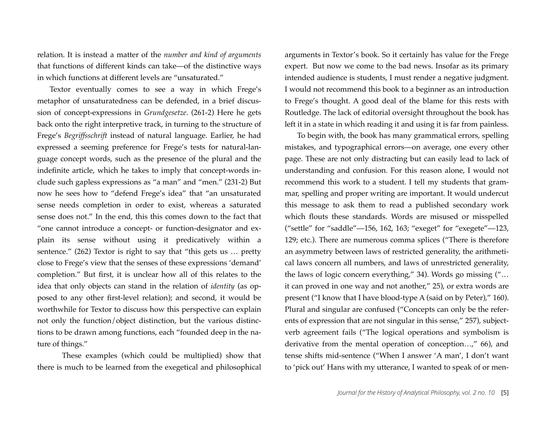relation. It is instead a matter of the *number and kind of arguments* that functions of different kinds can take—of the distinctive ways in which functions at different levels are "unsaturated."

Textor eventually comes to see a way in which Frege's metaphor of unsaturatedness can be defended, in a brief discussion of concept-expressions in *Grundgesetze*. (261-2) Here he gets back onto the right interpretive track, in turning to the structure of Frege's *Begriffsschrift* instead of natural language. Earlier, he had expressed a seeming preference for Frege's tests for natural-language concept words, such as the presence of the plural and the indefinite article, which he takes to imply that concept-words include such gapless expressions as "a man" and "men." (231-2) But now he sees how to "defend Frege's idea" that "an unsaturated sense needs completion in order to exist, whereas a saturated sense does not." In the end, this this comes down to the fact that "one cannot introduce a concept- or function-designator and explain its sense without using it predicatively within a sentence." (262) Textor is right to say that "this gets us … pretty close to Frege's view that the senses of these expressions 'demand' completion." But first, it is unclear how all of this relates to the idea that only objects can stand in the relation of *identity* (as opposed to any other first-level relation); and second, it would be worthwhile for Textor to discuss how this perspective can explain not only the function/object distinction, but the various distinctions to be drawn among functions, each "founded deep in the nature of things."

These examples (which could be multiplied) show that there is much to be learned from the exegetical and philosophical

arguments in Textor's book. So it certainly has value for the Frege expert. But now we come to the bad news. Insofar as its primary intended audience is students, I must render a negative judgment. I would not recommend this book to a beginner as an introduction to Frege's thought. A good deal of the blame for this rests with Routledge. The lack of editorial oversight throughout the book has left it in a state in which reading it and using it is far from painless.

To begin with, the book has many grammatical errors, spelling mistakes, and typographical errors—on average, one every other page. These are not only distracting but can easily lead to lack of understanding and confusion. For this reason alone, I would not recommend this work to a student. I tell my students that grammar, spelling and proper writing are important. It would undercut this message to ask them to read a published secondary work which flouts these standards. Words are misused or misspelled ("settle" for "saddle"—156, 162, 163; "exeget" for "exegete"—123, 129; etc.). There are numerous comma splices ("There is therefore an asymmetry between laws of restricted generality, the arithmetical laws concern all numbers, and laws of unrestricted generality, the laws of logic concern everything," 34). Words go missing ("… it can proved in one way and not another," 25), or extra words are present ("I know that I have blood-type A (said on by Peter)," 160). Plural and singular are confused ("Concepts can only be the referents of expression that are not singular in this sense," 257), subjectverb agreement fails ("The logical operations and symbolism is derivative from the mental operation of conception…," 66), and tense shifts mid-sentence ("When I answer 'A man', I don't want to 'pick out' Hans with my utterance, I wanted to speak of or men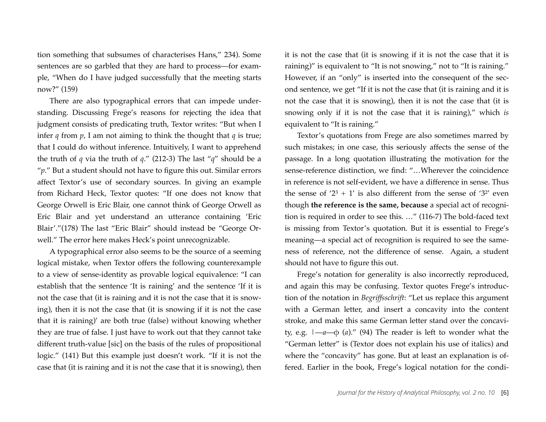tion something that subsumes of characterises Hans," 234). Some sentences are so garbled that they are hard to process—for example, "When do I have judged successfully that the meeting starts now?" (159)

There are also typographical errors that can impede understanding. Discussing Frege's reasons for rejecting the idea that judgment consists of predicating truth, Textor writes: "But when I infer  $q$  from  $p$ , I am not aiming to think the thought that  $q$  is true; that I could do without inference. Intuitively, I want to apprehend the truth of *q* via the truth of *q*." (212-3) The last "*q*" should be a "*p*." But a student should not have to figure this out. Similar errors affect Textor's use of secondary sources. In giving an example from Richard Heck, Textor quotes: "If one does not know that George Orwell is Eric Blair, one cannot think of George Orwell as Eric Blair and yet understand an utterance containing 'Eric Blair'."(178) The last "Eric Blair" should instead be "George Orwell." The error here makes Heck's point unrecognizable.

A typographical error also seems to be the source of a seeming logical mistake, when Textor offers the following counterexample to a view of sense-identity as provable logical equivalence: "I can establish that the sentence 'It is raining' and the sentence 'If it is not the case that (it is raining and it is not the case that it is snowing), then it is not the case that (it is snowing if it is not the case that it is raining)' are both true (false) without knowing whether they are true of false. I just have to work out that they cannot take different truth-value [sic] on the basis of the rules of propositional logic." (141) But this example just doesn't work. "If it is not the case that (it is raining and it is not the case that it is snowing), then it is not the case that (it is snowing if it is not the case that it is raining)" is equivalent to "It is not snowing," not to "It is raining." However, if an "only" is inserted into the consequent of the second sentence, we get "If it is not the case that (it is raining and it is not the case that it is snowing), then it is not the case that (it is snowing only if it is not the case that it is raining)," which *is* equivalent to "It is raining."

Textor's quotations from Frege are also sometimes marred by such mistakes; in one case, this seriously affects the sense of the passage. In a long quotation illustrating the motivation for the sense-reference distinction, we find: "…Wherever the coincidence in reference is not self-evident, we have a difference in sense. Thus the sense of ' $2^3 + 1$ ' is also different from the sense of ' $3^{2}$ ' even though **the reference is the same, because** a special act of recognition is required in order to see this. …" (116-7) The bold-faced text is missing from Textor's quotation. But it is essential to Frege's meaning—a special act of recognition is required to see the sameness of reference, not the difference of sense. Again, a student should not have to figure this out.

Frege's notation for generality is also incorrectly reproduced, and again this may be confusing. Textor quotes Frege's introduction of the notation in *Begriffsschrift*: "Let us replace this argument with a German letter, and insert a concavity into the content stroke, and make this same German letter stand over the concavity, e.g. |—*a*—φ (*a*)." (94) The reader is left to wonder what the "German letter" is (Textor does not explain his use of italics) and where the "concavity" has gone. But at least an explanation is offered. Earlier in the book, Frege's logical notation for the condi-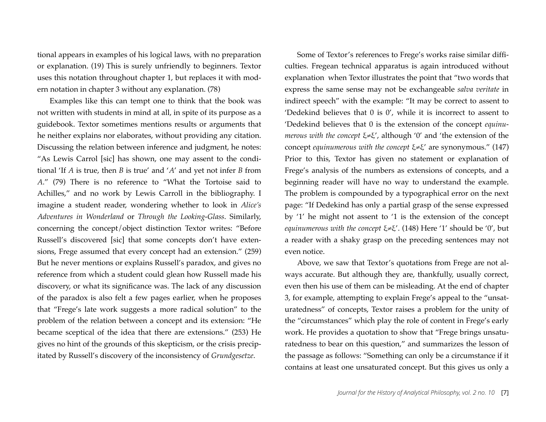tional appears in examples of his logical laws, with no preparation or explanation. (19) This is surely unfriendly to beginners. Textor uses this notation throughout chapter 1, but replaces it with modern notation in chapter 3 without any explanation. (78)

Examples like this can tempt one to think that the book was not written with students in mind at all, in spite of its purpose as a guidebook. Textor sometimes mentions results or arguments that he neither explains nor elaborates, without providing any citation. Discussing the relation between inference and judgment, he notes: "As Lewis Carrol [sic] has shown, one may assent to the conditional 'If *A* is true, then *B* is true' and '*A*' and yet not infer *B* from *A*." (79) There is no reference to "What the Tortoise said to Achilles," and no work by Lewis Carroll in the bibliography. I imagine a student reader, wondering whether to look in *Alice's Adventures in Wonderland* or *Through the Looking-Glass*. Similarly, concerning the concept/object distinction Textor writes: "Before Russell's discovered [sic] that some concepts don't have extensions, Frege assumed that every concept had an extension." (259) But he never mentions or explains Russell's paradox, and gives no reference from which a student could glean how Russell made his discovery, or what its significance was. The lack of any discussion of the paradox is also felt a few pages earlier, when he proposes that "Frege's late work suggests a more radical solution" to the problem of the relation between a concept and its extension: "He became sceptical of the idea that there are extensions." (253) He gives no hint of the grounds of this skepticism, or the crisis precipitated by Russell's discovery of the inconsistency of *Grundgesetze*.

Some of Textor's references to Frege's works raise similar difficulties. Fregean technical apparatus is again introduced without explanation when Textor illustrates the point that "two words that express the same sense may not be exchangeable *salva veritate* in indirect speech" with the example: "It may be correct to assent to 'Dedekind believes that 0 is 0', while it is incorrect to assent to 'Dedekind believes that 0 is the extension of the concept *equinumerous with the concept* ξ≠ξ', although '0' and 'the extension of the concept *equinumerous with the concept* ξ≠ξ' are synonymous." (147) Prior to this, Textor has given no statement or explanation of Frege's analysis of the numbers as extensions of concepts, and a beginning reader will have no way to understand the example. The problem is compounded by a typographical error on the next page: "If Dedekind has only a partial grasp of the sense expressed by '1' he might not assent to '1 is the extension of the concept *equinumerous with the concept* ξ≠ξ'. (148) Here '1' should be '0', but a reader with a shaky grasp on the preceding sentences may not even notice.

Above, we saw that Textor's quotations from Frege are not always accurate. But although they are, thankfully, usually correct, even then his use of them can be misleading. At the end of chapter 3, for example, attempting to explain Frege's appeal to the "unsaturatedness" of concepts, Textor raises a problem for the unity of the "circumstances" which play the role of content in Frege's early work. He provides a quotation to show that "Frege brings unsaturatedness to bear on this question," and summarizes the lesson of the passage as follows: "Something can only be a circumstance if it contains at least one unsaturated concept. But this gives us only a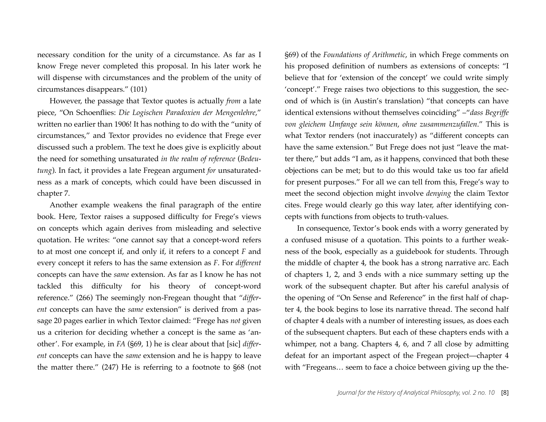necessary condition for the unity of a circumstance. As far as I know Frege never completed this proposal. In his later work he will dispense with circumstances and the problem of the unity of circumstances disappears." (101)

However, the passage that Textor quotes is actually *from* a late piece, "On Schoenflies: *Die Logischen Paradoxien der Mengenlehre*," written no earlier than 1906! It has nothing to do with the "unity of circumstances," and Textor provides no evidence that Frege ever discussed such a problem. The text he does give is explicitly about the need for something unsaturated *in the realm of reference* (*Bedeutung*). In fact, it provides a late Fregean argument *for* unsaturatedness as a mark of concepts, which could have been discussed in chapter 7.

Another example weakens the final paragraph of the entire book. Here, Textor raises a supposed difficulty for Frege's views on concepts which again derives from misleading and selective quotation. He writes: "one cannot say that a concept-word refers to at most one concept if, and only if, it refers to a concept *F* and every concept it refers to has the same extension as *F*. For *different* concepts can have the *same* extension. As far as I know he has not tackled this difficulty for his theory of concept-word reference." (266) The seemingly non-Fregean thought that "*different* concepts can have the *same* extension" is derived from a passage 20 pages earlier in which Textor claimed: "Frege has *not* given us a criterion for deciding whether a concept is the same as 'another'. For example, in *FA* (§69, 1) he is clear about that [sic] *different* concepts can have the *same* extension and he is happy to leave the matter there." (247) He is referring to a footnote to §68 (not §69) of the *Foundations of Arithmetic*, in which Frege comments on his proposed definition of numbers as extensions of concepts: "I believe that for 'extension of the concept' we could write simply 'concept'." Frege raises two objections to this suggestion, the second of which is (in Austin's translation) "that concepts can have identical extensions without themselves coinciding" –"*dass Begriffe von gleichem Umfange sein können*, *ohne zusammenzufallen*." This is what Textor renders (not inaccurately) as "different concepts can have the same extension." But Frege does not just "leave the matter there," but adds "I am, as it happens, convinced that both these objections can be met; but to do this would take us too far afield for present purposes." For all we can tell from this, Frege's way to meet the second objection might involve *denying* the claim Textor cites. Frege would clearly go this way later, after identifying concepts with functions from objects to truth-values.

In consequence, Textor's book ends with a worry generated by a confused misuse of a quotation. This points to a further weakness of the book, especially as a guidebook for students. Through the middle of chapter 4, the book has a strong narrative arc. Each of chapters 1, 2, and 3 ends with a nice summary setting up the work of the subsequent chapter. But after his careful analysis of the opening of "On Sense and Reference" in the first half of chapter 4, the book begins to lose its narrative thread. The second half of chapter 4 deals with a number of interesting issues, as does each of the subsequent chapters. But each of these chapters ends with a whimper, not a bang. Chapters 4, 6, and 7 all close by admitting defeat for an important aspect of the Fregean project—chapter 4 with "Fregeans… seem to face a choice between giving up the the